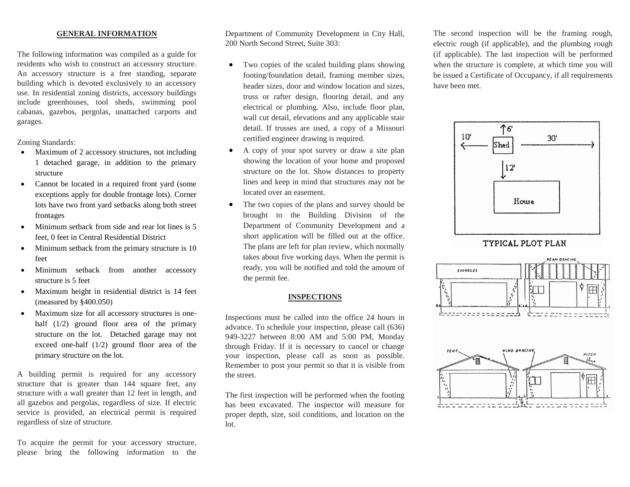## **GENERAL INFORMATION**

The following information was compiled as a guide for residents who wish to construct an accessory structure. An accessory structure is a free standing, separate building which is devoted exclusively to an accessory use. In residential zoning districts, accessory buildings include greenhouses, tool sheds, swimming pool cabanas, gazebos, pergolas, unattached carports and garages.

Zoning Standards:

- Maximum of 2 accessory structures, not including 1 detached garage, in addition to the primary structure
- Cannot be located in a required front yard (some exceptions apply for double frontage lots). Corner lots have two front yard setbacks along both street frontages
- Minimum setback from side and rear lot lines is 5 feet, 0 feet in Central Residential District
- Minimum setback from the primary structure is 10 feet
- Minimum setback from another accessory structure is 5 feet
- Maximum height in residential district is 14 feet (measured by §400.050)
- Maximum size for all accessory structures is onehalf (1/2) ground floor area of the primary structure on the lot. Detached garage may not exceed one-half (1/2) ground floor area of the primary structure on the lot.

A building permit is required for any accessory structure that is greater than 144 square feet, any structure with a wall greater than 12 feet in length, and all gazebos and pergolas, regardless of size. If electric service is provided, an electrical permit is required regardless of size of structure.

To acquire the permit for your accessory structure, please bring the following information to the Department of Community Development in City Hall, 200 North Second Street, Suite 303:

- Two copies of the scaled building plans showing footing/foundation detail, framing member sizes, header sizes, door and window location and sizes, truss or rafter design, flooring detail, and any electrical or plumbing. Also, include floor plan, wall cut detail, elevations and any applicable stair detail. If trusses are used, a copy of a Missouri certified engineer drawing is required.
- A copy of your spot survey or draw a site plan showing the location of your home and proposed structure on the lot. Show distances to property lines and keep in mind that structures may not be located over an easement.
- The two copies of the plans and survey should be brought to the Building Division of the Department of Community Development and a short application will be filled out at the office. The plans are left for plan review, which normally takes about five working days. When the permit is ready, you will be notified and told the amount of the permit fee.

## **INSPECTIONS**

Inspections must be called into the office 24 hours in advance. To schedule your inspection, please call (636) 949-3227 between 8:00 AM and 5:00 PM, Monday through Friday. If it is necessary to cancel or change your inspection, please call as soon as possible. Remember to post your permit so that it is visible from the street.

The first inspection will be performed when the footing has been excavated. The inspector will measure for proper depth, size, soil conditions, and location on the lot.

The second inspection will be the framing rough, electric rough (if applicable), and the plumbing rough (if applicable). The last inspection will be performed when the structure is complete, at which time you will be issued a Certificate of Occupancy, if all requirements have been met.



TYPICAL PLOT PLAN